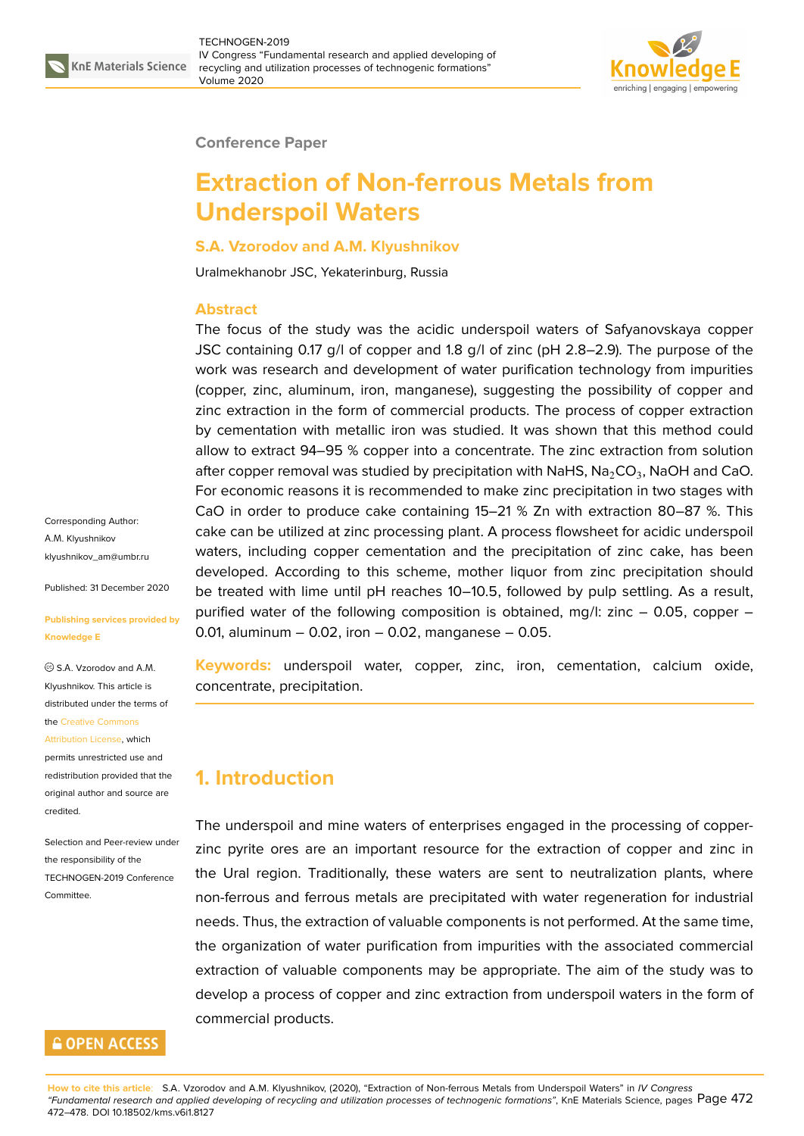

### **Conference Paper**

# **Extraction of Non-ferrous Metals from Underspoil Waters**

### **S.A. Vzorodov and A.M. Klyushnikov**

Uralmekhanobr JSC, Yekaterinburg, Russia

### **Abstract**

The focus of the study was the acidic underspoil waters of Safyanovskaya copper JSC containing 0.17 g/l of copper and 1.8 g/l of zinc (pH 2.8–2.9). The purpose of the work was research and development of water purification technology from impurities (copper, zinc, aluminum, iron, manganese), suggesting the possibility of copper and zinc extraction in the form of commercial products. The process of copper extraction by cementation with metallic iron was studied. It was shown that this method could allow to extract 94–95 % copper into a concentrate. The zinc extraction from solution after copper removal was studied by precipitation with NaHS,  $\mathsf{Na}_2\mathsf{CO}_3$ , NaOH and CaO. For economic reasons it is recommended to make zinc precipitation in two stages with CaO in order to produce cake containing 15–21 % Zn with extraction 80–87 %. This cake can be utilized at zinc processing plant. A process flowsheet for acidic underspoil waters, including copper cementation and the precipitation of zinc cake, has been developed. According to this scheme, mother liquor from zinc precipitation should be treated with lime until pH reaches 10-10.5, followed by pulp settling. As a result, purified water of the following composition is obtained, mg/l: zinc – 0.05, copper – 0.01, aluminum  $-$  0.02, iron  $-$  0.02, manganese  $-$  0.05.

**Keywords:** underspoil water, copper, zinc, iron, cementation, calcium oxide, concentrate, precipitation.

## **1. Introduction**

The underspoil and mine waters of enterprises engaged in the processing of copperzinc pyrite ores are an important resource for the extraction of copper and zinc in the Ural region. Traditionally, these waters are sent to neutralization plants, where non-ferrous and ferrous metals are precipitated with water regeneration for industrial needs. Thus, the extraction of valuable components is not performed. At the same time, the organization of water purification from impurities with the associated commercial extraction of valuable components may be appropriate. The aim of the study was to develop a process of copper and zinc extraction from underspoil waters in the form of commercial products.

Corresponding Author: А.М. Klyushnikov klyushnikov\_am@umbr.ru

Published: 31 December 2020

### **[Publishing services provi](mailto:klyushnikov_am@umbr.ru)ded by Knowledge E**

 $\circ$  S.A. Vzorodov and A.M. Klyushnikov. This article is distributed under the terms of the Creative Commons

#### Attribution License, which

permits unrestricted use and redistribution provided that the orig[inal author and sou](https://creativecommons.org/licenses/by/4.0/)rce are [credited.](https://creativecommons.org/licenses/by/4.0/)

Selection and Peer-review under the responsibility of the TECHNOGEN-2019 Conference Committee.

### **GOPEN ACCESS**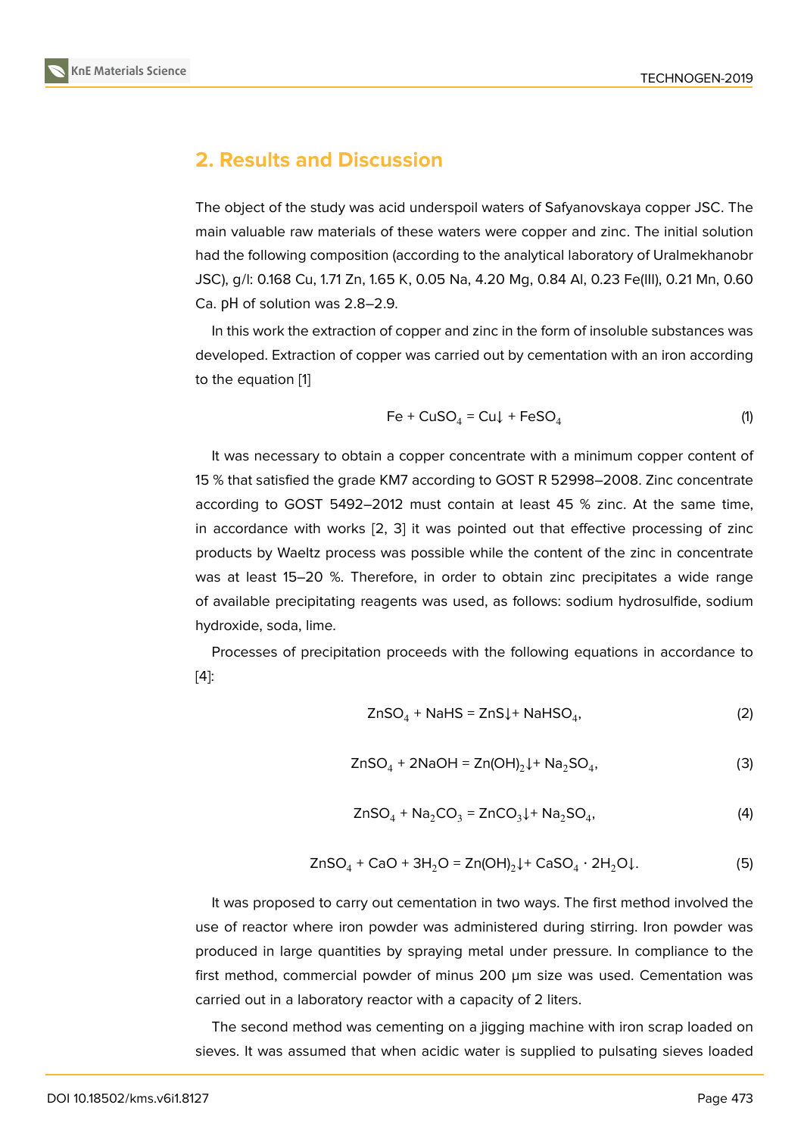## **2. Results and Discussion**

The object of the study was acid underspoil waters of Safyanovskaya copper JSC. The main valuable raw materials of these waters were copper and zinc. The initial solution had the following composition (according to the analytical laboratory of Uralmekhanobr JSC), g/l: 0.168 Cu, 1.71 Zn, 1.65 K, 0.05 Na, 4.20 Mg, 0.84 Al, 0.23 Fe(III), 0.21 Mn, 0.60 Ca. рН of solution was 2.8–2.9.

In this work the extraction of copper and zinc in the form of insoluble substances was developed. Extraction of copper was carried out by cementation with an iron according to the equation [1]

$$
Fe + CuSO_4 = Cu \downarrow + FeSO_4 \tag{1}
$$

It was necess[ar](#page-6-0)y to obtain a copper concentrate with a minimum copper content of 15 % that satisfied the grade KM7 according to GOST R 52998–2008. Zinc concentrate according to GOST 5492–2012 must contain at least 45 % zinc. At the same time, in accordance with works [2, 3] it was pointed out that effective processing of zinc products by Waeltz process was possible while the content of the zinc in concentrate was at least 15–20 %. Therefore, in order to obtain zinc precipitates a wide range of available precipitating re[ag](#page-6-1)[en](#page-6-2)ts was used, as follows: sodium hydrosulfide, sodium hydroxide, soda, lime.

Processes of precipitation proceeds with the following equations in accordance to [4]:

$$
ZnSO_4 + NaHS = ZnS\downarrow + NaHSO_4,
$$
 (2)

$$
ZnSO4 + 2NaOH = Zn(OH)2 + Na2SO4,
$$
 (3)

$$
ZnSO4 + Na2CO3 = ZnCO3 + Na2SO4,
$$
\n(4)

$$
ZnSO4 + CaO + 3H2O = Zn(OH)2 \downarrow + CaSO4 \cdot 2H2O \downarrow.
$$
 (5)

It was proposed to carry out cementation in two ways. The first method involved the use of reactor where iron powder was administered during stirring. Iron powder was produced in large quantities by spraying metal under pressure. In compliance to the first method, commercial powder of minus 200 µm size was used. Cementation was carried out in a laboratory reactor with a capacity of 2 liters.

The second method was cementing on a jigging machine with iron scrap loaded on sieves. It was assumed that when acidic water is supplied to pulsating sieves loaded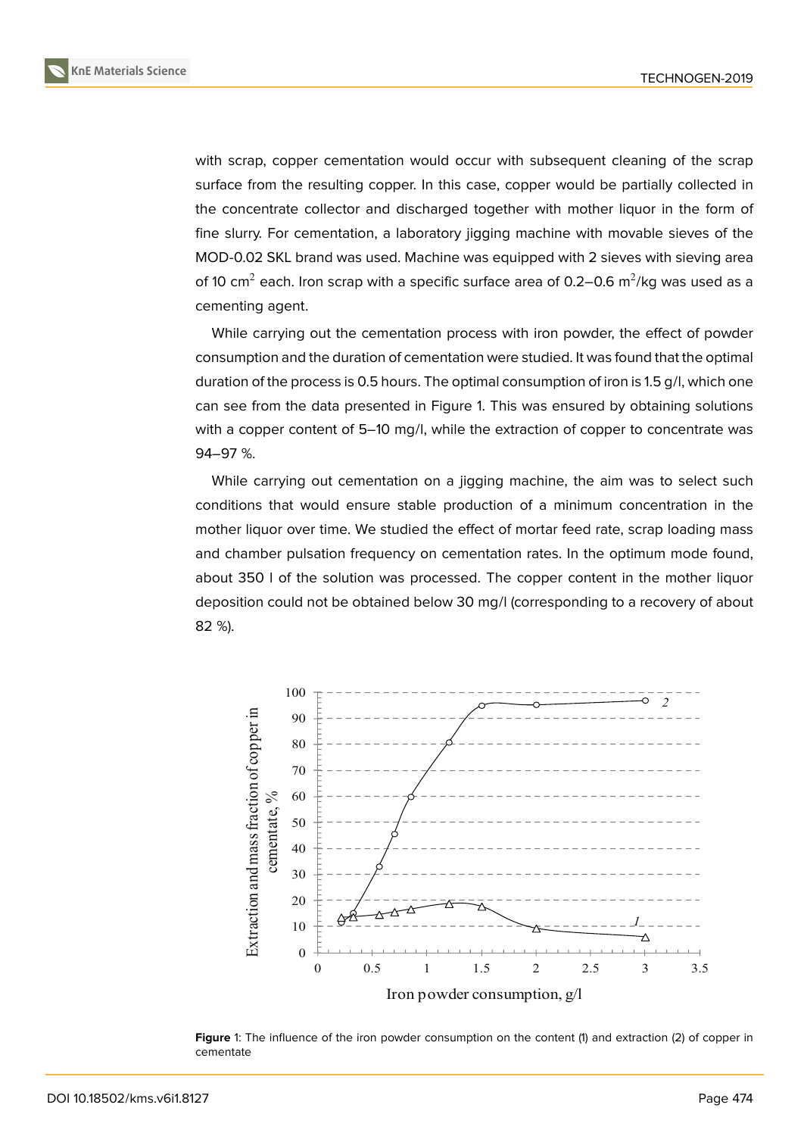with scrap, copper cementation would occur with subsequent cleaning of the scrap surface from the resulting copper. In this case, copper would be partially collected in the concentrate collector and discharged together with mother liquor in the form of fine slurry. For cementation, a laboratory jigging machine with movable sieves of the MOD-0.02 SKL brand was used. Machine was equipped with 2 sieves with sieving area of 10 cm $^2$  each. Iron scrap with a specific surface area of 0.2–0.6 m $^2$ /kg was used as a cementing agent.

While carrying out the cementation process with iron powder, the effect of powder consumption and the duration of cementation were studied. It was found that the optimal duration of the process is 0.5 hours. The optimal consumption of iron is 1.5 g/l, which one can see from the data presented in Figure 1. This was ensured by obtaining solutions with a copper content of 5–10 mg/l, while the extraction of copper to concentrate was 94–97 %.

While carrying out cementation on a jig[g](#page-2-0)ing machine, the aim was to select such conditions that would ensure stable production of a minimum concentration in the mother liquor over time. We studied the effect of mortar feed rate, scrap loading mass and chamber pulsation frequency on cementation rates. In the optimum mode found, about 350 l of the solution was processed. The copper content in the mother liquor deposition could not be obtained below 30 mg/l (corresponding to a recovery of about 82 %).



<span id="page-2-0"></span>Figure 1: The influence of the iron powder consumption on the content (1) and extraction (2) of copper in cementate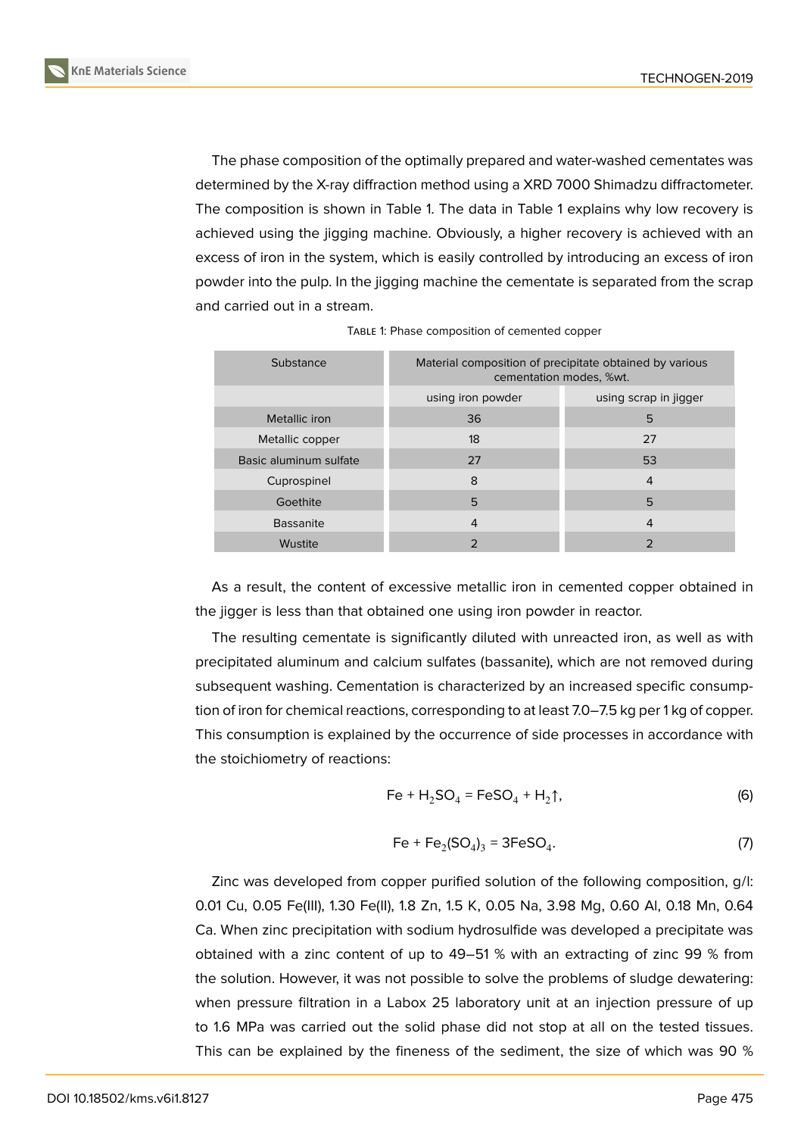

The phase composition of the optimally prepared and water-washed cementates was determined by the X-ray diffraction method using a XRD 7000 Shimadzu diffractometer. The composition is shown in Table 1. The data in Table 1 explains why low recovery is achieved using the jigging machine. Obviously, a higher recovery is achieved with an excess of iron in the system, which is easily controlled by introducing an excess of iron powder into the pulp. In the jigging machine the cementate is separated from the scrap and carried out in a stream.

| Substance              | Material composition of precipitate obtained by various<br>cementation modes, %wt. |                       |
|------------------------|------------------------------------------------------------------------------------|-----------------------|
|                        | using iron powder                                                                  | using scrap in jigger |
| Metallic iron          | 36                                                                                 | 5                     |
| Metallic copper        | 18                                                                                 | 27                    |
| Basic aluminum sulfate | 27                                                                                 | 53                    |
| Cuprospinel            | 8                                                                                  | 4                     |
| Goethite               | 5                                                                                  | 5                     |
| <b>Bassanite</b>       | 4                                                                                  | 4                     |
| Wustite                | っ                                                                                  | っ                     |

TABLE 1: Phase composition of cemented copper

As a result, the content of excessive metallic iron in cemented copper obtained in the jigger is less than that obtained one using iron powder in reactor.

The resulting cementate is significantly diluted with unreacted iron, as well as with precipitated aluminum and calcium sulfates (bassanite), which are not removed during subsequent washing. Cementation is characterized by an increased specific consumption of iron for chemical reactions, corresponding to at least 7.0–7.5 kg per 1 kg of copper. This consumption is explained by the occurrence of side processes in accordance with the stoichiometry of reactions:

$$
Fe + H_2SO_4 = FeSO_4 + H_2\uparrow,
$$
 (6)

$$
Fe + Fe_2(SO_4)_3 = 3FeSO_4.
$$
 (7)

Zinc was developed from copper purified solution of the following composition, g/l: 0.01 Cu, 0.05 Fe(III), 1.30 Fe(II), 1.8 Zn, 1.5 K, 0.05 Na, 3.98 Mg, 0.60 Al, 0.18 Mn, 0.64 Ca. When zinc precipitation with sodium hydrosulfide was developed a precipitate was obtained with a zinc content of up to 49–51 % with an extracting of zinc 99 % from the solution. However, it was not possible to solve the problems of sludge dewatering: when pressure filtration in a Labox 25 laboratory unit at an injection pressure of up to 1.6 MPa was carried out the solid phase did not stop at all on the tested tissues. This can be explained by the fineness of the sediment, the size of which was 90 %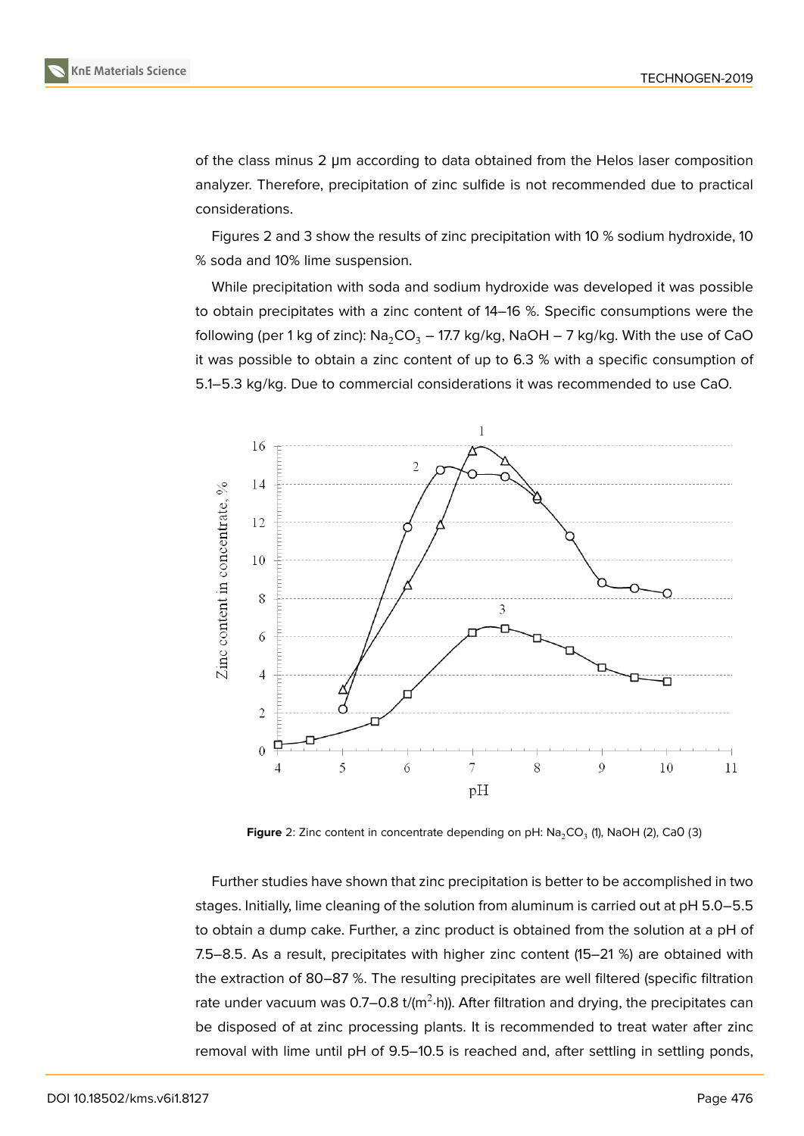

of the class minus 2 μm according to data obtained from the Helos laser composition analyzer. Therefore, precipitation of zinc sulfide is not recommended due to practical considerations.

Figures 2 and 3 show the results of zinc precipitation with 10 % sodium hydroxide, 10 % soda and 10% lime suspension.

While precipitation with soda and sodium hydroxide was developed it was possible to obtain precipitates with a zinc content of 14–16 %. Specific consumptions were the following (per 1 kg of zinc): Na<sub>2</sub>CO<sub>3</sub> – 17.7 kg/kg, NaOH – 7 kg/kg. With the use of CaO it was possible to obtain a zinc content of up to 6.3 % with a specific consumption of 5.1–5.3 kg/kg. Due to commercial considerations it was recommended to use CaO.



**Figure** 2: Zinc content in concentrate depending on pH: Na<sub>2</sub>CO<sub>3</sub> (1), NaOH (2), CaO (3)

Further studies have shown that zinc precipitation is better to be accomplished in two stages. Initially, lime cleaning of the solution from aluminum is carried out at pH 5.0–5.5 to obtain a dump cake. Further, a zinc product is obtained from the solution at a pH of 7.5–8.5. As a result, precipitates with higher zinc content (15–21 %) are obtained with the extraction of 80–87 %. The resulting precipitates are well filtered (specific filtration rate under vacuum was 0.7–0.8 t/(m $^2$ ·h)). After filtration and drying, the precipitates can be disposed of at zinc processing plants. It is recommended to treat water after zinc removal with lime until pH of 9.5–10.5 is reached and, after settling in settling ponds,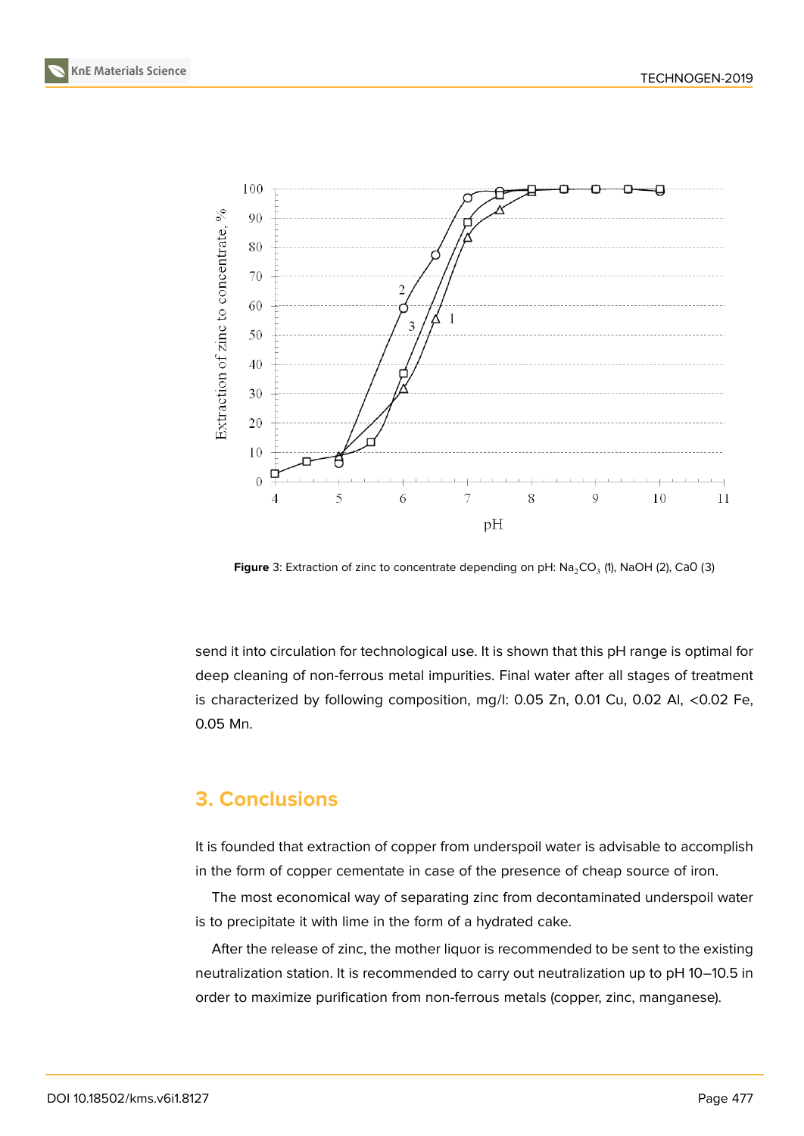



**Figure** 3: Extraction of zinc to concentrate depending on pH:  $\text{Na}_2\text{CO}_3$  (1), NaOH (2), CaO (3)

send it into circulation for technological use. It is shown that this pH range is optimal for deep cleaning of non-ferrous metal impurities. Final water after all stages of treatment is characterized by following composition, mg/l: 0.05 Zn, 0.01 Cu, 0.02 Al, <0.02 Fe, 0.05 Mn.

## **3. Conclusions**

It is founded that extraction of copper from underspoil water is advisable to accomplish in the form of copper cementate in case of the presence of cheap source of iron.

The most economical way of separating zinc from decontaminated underspoil water is to precipitate it with lime in the form of a hydrated cake.

After the release of zinc, the mother liquor is recommended to be sent to the existing neutralization station. It is recommended to carry out neutralization up to pH 10–10.5 in order to maximize purification from non-ferrous metals (copper, zinc, manganese).